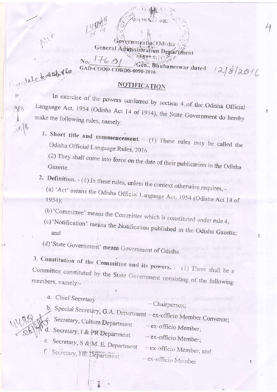## $1760$ No. Gen., Bhubaneswar dated GAD-COOD-CORDS-0090-2016

Concelate to catched for.

APB

## **NOTIFICATION**

 $2.996$ 

 $1218/2016$ 

ernment of Odisha

General Adultinistration Department

In exercise of the powers conferred by section 4 of the Odisha Official Language Act, 1954 (Odisha Act 14 of 1954), the State Government do hereby make the following rules, namely:

1. Short title and commencement.  $- (1)$  These rules may be called the Odisha Official Language Rules, 2016.

(2) They shall come into force on the date of their publication in the Odisha

- 2. Definition. (1) In these rules, unless the context otherwise requires,
	- (a) 'Act' means the Odisha Official Language Act, 1954 (Odisha Act 14 of
	- (b) 'Committee' means the Committee which is constituted under rule 4,
	- (c) 'Notification' means the Notification published in the Odisha Gazette;

(d) 'State Government' means Government of Odisha.

3. Constitution of the Committee and its powers. (1) There shall be a Committee constituted by the State Government consisting of the following members, namely:-

a. Chief Secretary - Chairperson; b. Special Secretary, G.A. Department - ex-officio Member Convenor; Secretary, Culture Department - ex-officio Member; d. Secretary, I & PR Department - ex-officio Member; e. Secretary, S & M. E. Department - ex-officio Member; and f. 'Secretary, THE Department - ex-officio Member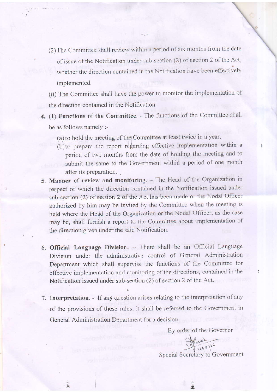- (2) The Committee shall review within a period of six months from the date of issue of the Notification under sub-section (2) of section 2 of the Act, whether the direction contained in the Notification have been effectively implemented.
- (ii) The Committee shall have the power to monitor the implementation of the direction contained in the Notification.
- 4. (1) Functions of the Committee. The functions of the Committee shall be as follows namely :-
	- (a) to hold the meeting of the Committee at least twice in a year.
	- (b) to prepare the report regarding effective implementation within a period of two months from the date of holding the meeting and to submit the same to the Government within a period of one month after its preparation.
- 5. Manner of review and monitoring. The Head of the Organization in respect of which the direction contained in the Notification issued under sub-section (2) of section 2 of the Act has been made or the Nodal Officer authorized by him may be invited by the Committee when the meeting is held where the Head of the Organization or the Nodal Officer, as the case may be, shall furnish a report to the Committee about implementation of the direction given under the said Notification.
- 6. Official Language Division. There shall be an Official Language Division under the administrative control of General Administration Department which shall supervise the functions of the Committee for effective implementation and monitoring of the directions, contained in the Notification issued under sub-section (2) of section 2 of the Act.
- 7. Interpretation. If any question arises relating to the interpretation of any of the provisions of these rules, it shall be referred to the Government in General Administration Department for a decision.

ī.

By order of the Governor

Special Secretary to Government